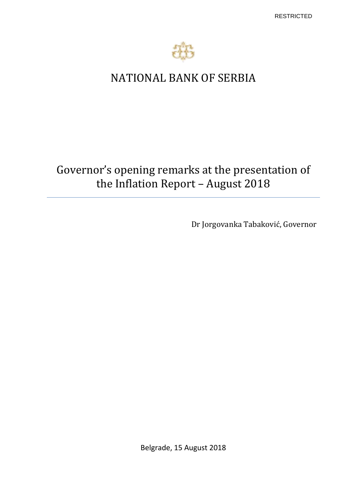

# NATIONAL BANK OF SERBIA

# Governor's opening remarks at the presentation of the Inflation Report – August 2018

Dr Jorgovanka Tabaković, Governor

Belgrade, 15 August 2018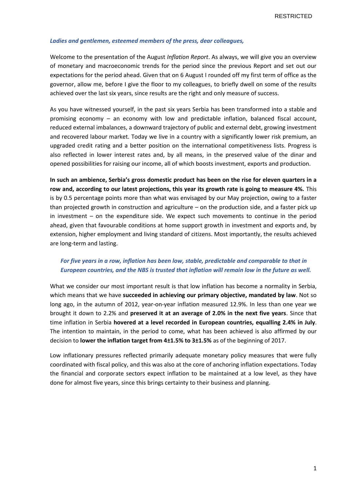#### *Ladies and gentlemen, esteemed members of the press, dear colleagues,*

Welcome to the presentation of the August *Inflation Report*. As always, we will give you an overview of monetary and macroeconomic trends for the period since the previous Report and set out our expectations for the period ahead. Given that on 6 August I rounded off my first term of office as the governor, allow me, before I give the floor to my colleagues, to briefly dwell on some of the results achieved over the last six years, since results are the right and only measure of success.

As you have witnessed yourself, in the past six years Serbia has been transformed into a stable and promising economy – an economy with low and predictable inflation, balanced fiscal account, reduced external imbalances, a downward trajectory of public and external debt, growing investment and recovered labour market. Today we live in a country with a significantly lower risk premium, an upgraded credit rating and a better position on the international competitiveness lists. Progress is also reflected in lower interest rates and, by all means, in the preserved value of the dinar and opened possibilities for raising our income, all of which boosts investment, exports and production.

**In such an ambience, Serbia's gross domestic product has been on the rise for eleven quarters in a row and, according to our latest projections, this year its growth rate is going to measure 4%.** This is by 0.5 percentage points more than what was envisaged by our May projection, owing to a faster than projected growth in construction and agriculture – on the production side, and a faster pick up in investment – on the expenditure side. We expect such movements to continue in the period ahead, given that favourable conditions at home support growth in investment and exports and, by extension, higher employment and living standard of citizens. Most importantly, the results achieved are long-term and lasting.

## *For five years in a row, inflation has been low, stable, predictable and comparable to that in European countries, and the NBS is trusted that inflation will remain low in the future as well.*

What we consider our most important result is that low inflation has become a normality in Serbia, which means that we have **succeeded in achieving our primary objective, mandated by law**. Not so long ago, in the autumn of 2012, year-on-year inflation measured 12.9%. In less than one year we brought it down to 2.2% and **preserved it at an average of 2.0% in the next five years**. Since that time inflation in Serbia **hovered at a level recorded in European countries, equalling 2.4% in July**. The intention to maintain, in the period to come, what has been achieved is also affirmed by our decision to **lower the inflation target from 4±1.5% to 3±1.5%** as of the beginning of 2017.

Low inflationary pressures reflected primarily adequate monetary policy measures that were fully coordinated with fiscal policy, and this was also at the core of anchoring inflation expectations. Today the financial and corporate sectors expect inflation to be maintained at a low level, as they have done for almost five years, since this brings certainty to their business and planning.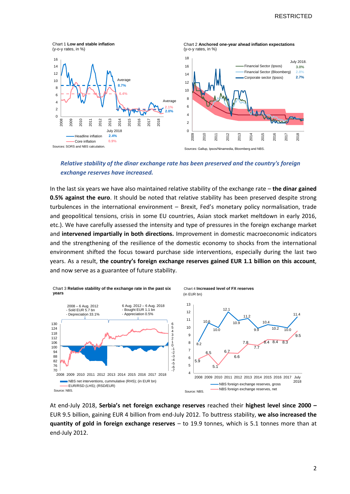

*Relative stability of the dinar exchange rate has been preserved and the country's foreign exchange reserves have increased.*

In the last six years we have also maintained relative stability of the exchange rate – **the dinar gained 0.5% against the euro**. It should be noted that relative stability has been preserved despite strong turbulences in the international environment – Brexit, Fed's monetary policy normalisation, trade and geopolitical tensions, crisis in some EU countries, Asian stock market meltdown in early 2016, etc.). We have carefully assessed the intensity and type of pressures in the foreign exchange market and **intervened impartially in both directions.** Improvement in domestic macroeconomic indicators and the strengthening of the resilience of the domestic economy to shocks from the international environment shifted the focus toward purchase side interventions, especially during the last two years. As a result, **the country's foreign exchange reserves gained EUR 1.1 billion on this account**, and now serve as a guarantee of future stability.



At end-July 2018, **Serbia's net foreign exchange reserves** reached their **highest level since 2000 –** EUR 9.5 billion, gaining EUR 4 billion from end-July 2012. To buttress stability, **we also increased the quantity of gold in foreign exchange reserves** – to 19.9 tonnes, which is 5.1 tonnes more than at end-July 2012.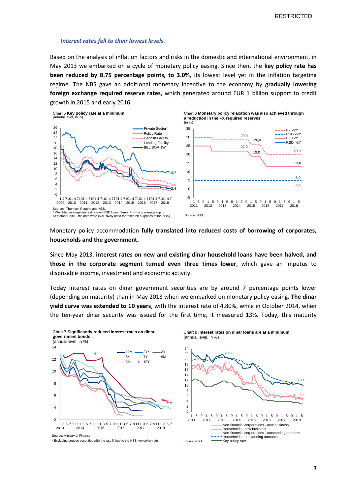#### *Interest rates fell to their lowest levels.*

Based on the analysis of inflation factors and risks in the domestic and international environment, in May 2013 we embarked on a cycle of monetary policy easing. Since then, the **key policy rate has been reduced by 8.75 percentage points, to 3.0%**, its lowest level yet in the inflation targeting regime. The NBS gave an additional monetary incentive to the economy by **gradually lowering foreign exchange required reserve rates**, which generated around EUR 1 billion support to credit growth in 2015 and early 2016.



Monetary policy accommodation **fully translated into reduced costs of borrowing of corporates, households and the government.**

Since May 2013, **interest rates on new and existing dinar household loans have been halved, and those in the corporate segment turned even three times lower**, which gave an impetus to disposable income, investment and economic activity.

Today interest rates on dinar government securities are by around 7 percentage points lower (depending on maturity) than in May 2013 when we embarked on monetary policy easing. **The dinar yield curve was extended to 10 years**, with the interest rate of 4.80%, while in October 2014, when the ten-year dinar security was issued for the first time, it measured 13%. Today, this maturity



Chart 8 **Interest rates on dinar loans are at a minimum** (annual level, in %)



Source: Ministry of Finance.

\* Excluding coupon securities with the rate linked to the NBS key policy rate.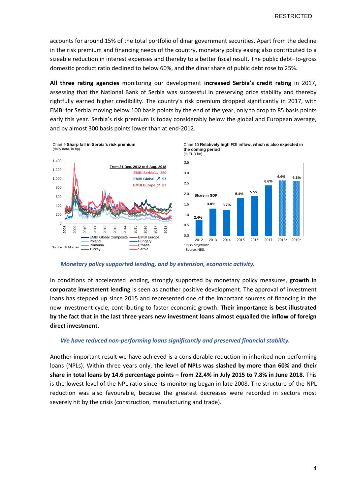accounts for around 15% of the total portfolio of dinar government securities. Apart from the decline in the risk premium and financing needs of the country, monetary policy easing also contributed to a sizeable reduction in interest expenses and thereby to a better fiscal result. The public debt–to-gross domestic product ratio declined to below 60%, and the dinar share of public debt rose to 25%.

**All three rating agencies** monitoring our development **increased Serbia's credit rating** in 2017, assessing that the National Bank of Serbia was successful in preserving price stability and thereby rightfully earned higher credibility. The country's risk premium dropped significantly in 2017, with EMBI for Serbia moving below 100 basis points by the end of the year, only to drop to 85 basis points early this year. Serbia's risk premium is today considerably below the global and European average, and by almost 300 basis points lower than at end-2012.



*Monetary policy supported lending, and by extension, economic activity.* 

In conditions of accelerated lending, strongly supported by monetary policy measures, **growth in corporate investment lending** is seen as another positive development. The approval of investment loans has stepped up since 2015 and represented one of the important sources of financing in the new investment cycle, contributing to faster economic growth. **Their importance is best illustrated by the fact that in the last three years new investment loans almost equalled the inflow of foreign direct investment.** 

### *We have reduced non-performing loans significantly and preserved financial stability.*

Another important result we have achieved is a considerable reduction in inherited non-performing loans (NPLs). Within three years only, **the level of NPLs was slashed by more than 60% and their share in total loans by 14.6 percentage points – from 22.4% in July 2015 to 7.8% in June 2018.** This is the lowest level of the NPL ratio since its monitoring began in late 2008. The structure of the NPL reduction was also favourable, because the greatest decreases were recorded in sectors most severely hit by the crisis (construction, manufacturing and trade).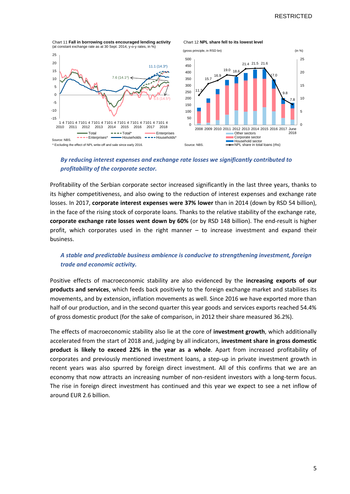Chart 11 **Fall in borrowing costs encouraged lending activity** (at constant exchange rate as at 30 Sept. 2014, y-o-y rates, in %)

#### -15  $-10$ -5  $\Omega$ 5 10 15 20 25 1 4 7101 4 7101 4 7101 4 7101 4 7101 4 7101 4 7101 4 7101 4 2010 2011 2012 2013 2014 2015 2016 2017 2018 Total  $---$  Total  $---$  Total\*  $---$  Enterprises<br>---- Enterprises\*  $---$  Households ---- Household  $-Households = - - Households$ 11.1 (14.3\*) 7.6 (14.1\*) 5.5 (14.5\*) \* Excluding the effect of NPL write-off and sale since early 2016. Source: NBS.





### *By reducing interest expenses and exchange rate losses we significantly contributed to profitability of the corporate sector.*

Profitability of the Serbian corporate sector increased significantly in the last three years, thanks to its higher competitiveness, and also owing to the reduction of interest expenses and exchange rate losses. In 2017, **corporate interest expenses were 37% lower** than in 2014 (down by RSD 54 billion), in the face of the rising stock of corporate loans. Thanks to the relative stability of the exchange rate, **corporate exchange rate losses went down by 60%** (or by RSD 148 billion). The end-result is higher profit, which corporates used in the right manner – to increase investment and expand their business.

# *A stable and predictable business ambience is conducive to strengthening investment, foreign trade and economic activity.*

Positive effects of macroeconomic stability are also evidenced by the **increasing exports of our products and services**, which feeds back positively to the foreign exchange market and stabilises its movements, and by extension, inflation movements as well. Since 2016 we have exported more than half of our production, and in the second quarter this year goods and services exports reached 54.4% of gross domestic product (for the sake of comparison, in 2012 their share measured 36.2%).

The effects of macroeconomic stability also lie at the core of **investment growth**, which additionally accelerated from the start of 2018 and, judging by all indicators, **investment share in gross domestic product is likely to exceed 22% in the year as a whole**. Apart from increased profitability of corporates and previously mentioned investment loans, a step-up in private investment growth in recent years was also spurred by foreign direct investment. All of this confirms that we are an economy that now attracts an increasing number of non-resident investors with a long-term focus. The rise in foreign direct investment has continued and this year we expect to see a net inflow of around EUR 2.6 billion.